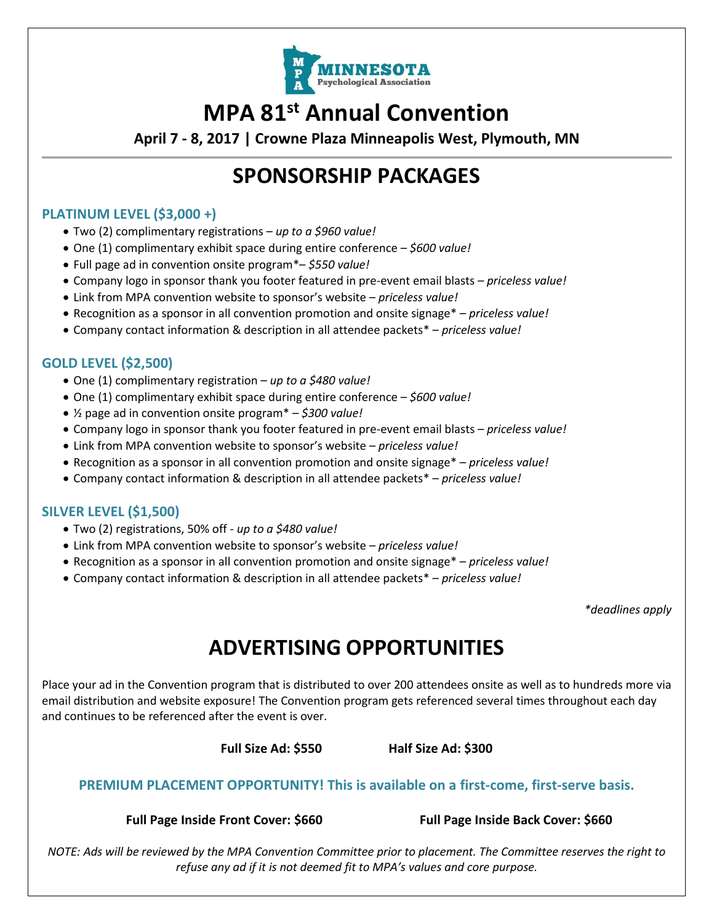

## **MPA 81st Annual Convention**

**April 7 - 8, 2017 | Crowne Plaza Minneapolis West, Plymouth, MN**

### **SPONSORSHIP PACKAGES**

#### **PLATINUM LEVEL (\$3,000 +)**

- Two (2) complimentary registrations *up to a \$960 value!*
- One (1) complimentary exhibit space during entire conference *\$600 value!*
- Full page ad in convention onsite program\*– *\$550 value!*
- Company logo in sponsor thank you footer featured in pre-event email blasts *priceless value!*
- Link from MPA convention website to sponsor's website *priceless value!*
- Recognition as a sponsor in all convention promotion and onsite signage\* *priceless value!*
- Company contact information & description in all attendee packets\* *priceless value!*

### **GOLD LEVEL (\$2,500)**

- One (1) complimentary registration *up to a \$480 value!*
- One (1) complimentary exhibit space during entire conference *\$600 value!*
- ½ page ad in convention onsite program\* *\$300 value!*
- Company logo in sponsor thank you footer featured in pre-event email blasts *priceless value!*
- Link from MPA convention website to sponsor's website *priceless value!*
- Recognition as a sponsor in all convention promotion and onsite signage\* *priceless value!*
- Company contact information & description in all attendee packets\* *priceless value!*

### **SILVER LEVEL (\$1,500)**

- Two (2) registrations, 50% off *up to a \$480 value!*
- Link from MPA convention website to sponsor's website *priceless value!*
- Recognition as a sponsor in all convention promotion and onsite signage\* *priceless value!*
- Company contact information & description in all attendee packets\* *priceless value!*

*\*deadlines apply*

# **ADVERTISING OPPORTUNITIES**

Place your ad in the Convention program that is distributed to over 200 attendees onsite as well as to hundreds more via email distribution and website exposure! The Convention program gets referenced several times throughout each day and continues to be referenced after the event is over.

**Full Size Ad: \$550 Half Size Ad: \$300**

#### **PREMIUM PLACEMENT OPPORTUNITY! This is available on a first-come, first-serve basis.**

**Full Page Inside Front Cover: \$660 Full Page Inside Back Cover: \$660**

*NOTE: Ads will be reviewed by the MPA Convention Committee prior to placement. The Committee reserves the right to refuse any ad if it is not deemed fit to MPA's values and core purpose.*